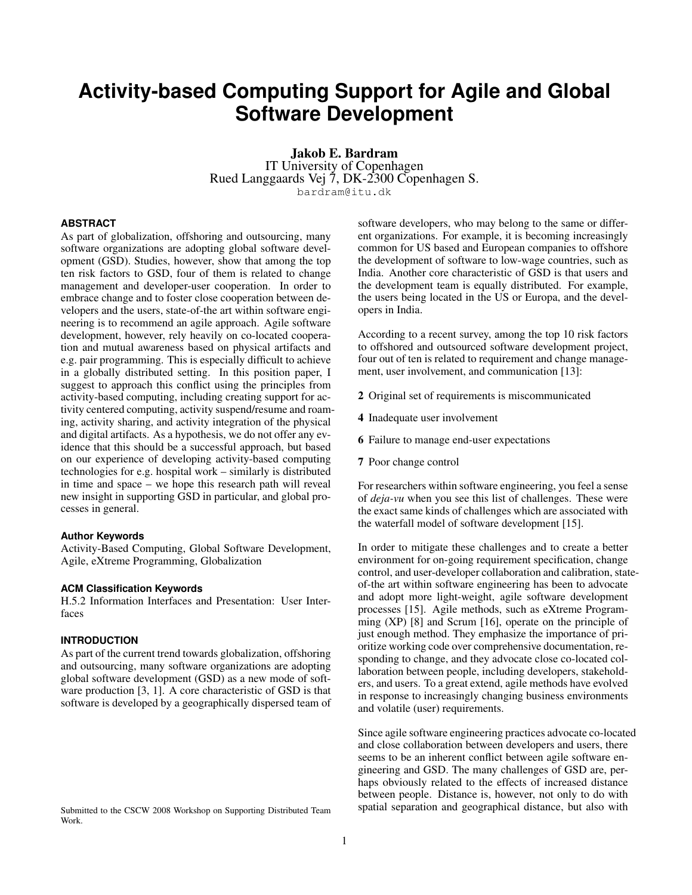# **Activity-based Computing Support for Agile and Global Software Development**

Jakob E. Bardram IT University of Copenhagen Rued Langgaards Vej 7, DK-2300 Copenhagen S. bardram@itu.dk

## **ABSTRACT**

As part of globalization, offshoring and outsourcing, many software organizations are adopting global software development (GSD). Studies, however, show that among the top ten risk factors to GSD, four of them is related to change management and developer-user cooperation. In order to embrace change and to foster close cooperation between developers and the users, state-of-the art within software engineering is to recommend an agile approach. Agile software development, however, rely heavily on co-located cooperation and mutual awareness based on physical artifacts and e.g. pair programming. This is especially difficult to achieve in a globally distributed setting. In this position paper, I suggest to approach this conflict using the principles from activity-based computing, including creating support for activity centered computing, activity suspend/resume and roaming, activity sharing, and activity integration of the physical and digital artifacts. As a hypothesis, we do not offer any evidence that this should be a successful approach, but based on our experience of developing activity-based computing technologies for e.g. hospital work – similarly is distributed in time and space – we hope this research path will reveal new insight in supporting GSD in particular, and global processes in general.

#### **Author Keywords**

Activity-Based Computing, Global Software Development, Agile, eXtreme Programming, Globalization

# **ACM Classification Keywords**

H.5.2 Information Interfaces and Presentation: User Interfaces

# **INTRODUCTION**

As part of the current trend towards globalization, offshoring and outsourcing, many software organizations are adopting global software development (GSD) as a new mode of software production [\[3,](#page-4-0) [1\]](#page-4-1). A core characteristic of GSD is that software is developed by a geographically dispersed team of

Submitted to the CSCW 2008 Workshop on Supporting Distributed Team Work.

software developers, who may belong to the same or different organizations. For example, it is becoming increasingly common for US based and European companies to offshore the development of software to low-wage countries, such as India. Another core characteristic of GSD is that users and the development team is equally distributed. For example, the users being located in the US or Europa, and the developers in India.

According to a recent survey, among the top 10 risk factors to offshored and outsourced software development project, four out of ten is related to requirement and change management, user involvement, and communication [\[13\]](#page-4-2):

- 2 Original set of requirements is miscommunicated
- 4 Inadequate user involvement
- 6 Failure to manage end-user expectations
- 7 Poor change control

For researchers within software engineering, you feel a sense of *deja-vu* when you see this list of challenges. These were the exact same kinds of challenges which are associated with the waterfall model of software development [\[15\]](#page-4-3).

In order to mitigate these challenges and to create a better environment for on-going requirement specification, change control, and user-developer collaboration and calibration, stateof-the art within software engineering has been to advocate and adopt more light-weight, agile software development processes [\[15\]](#page-4-3). Agile methods, such as eXtreme Programming (XP) [\[8\]](#page-4-4) and Scrum [\[16\]](#page-4-5), operate on the principle of just enough method. They emphasize the importance of prioritize working code over comprehensive documentation, responding to change, and they advocate close co-located collaboration between people, including developers, stakeholders, and users. To a great extend, agile methods have evolved in response to increasingly changing business environments and volatile (user) requirements.

Since agile software engineering practices advocate co-located and close collaboration between developers and users, there seems to be an inherent conflict between agile software engineering and GSD. The many challenges of GSD are, perhaps obviously related to the effects of increased distance between people. Distance is, however, not only to do with spatial separation and geographical distance, but also with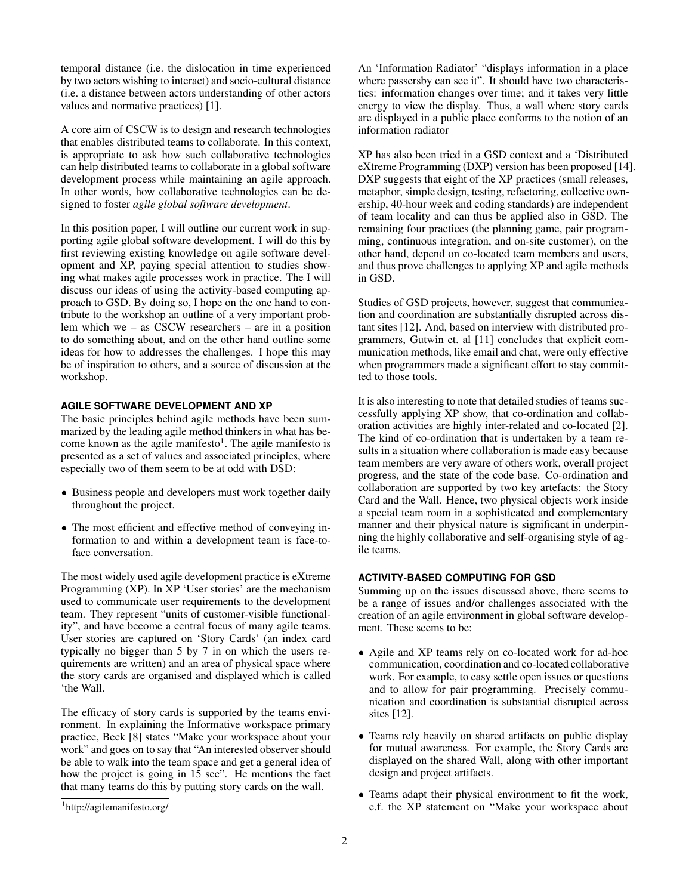temporal distance (i.e. the dislocation in time experienced by two actors wishing to interact) and socio-cultural distance (i.e. a distance between actors understanding of other actors values and normative practices) [\[1\]](#page-4-1).

A core aim of CSCW is to design and research technologies that enables distributed teams to collaborate. In this context, is appropriate to ask how such collaborative technologies can help distributed teams to collaborate in a global software development process while maintaining an agile approach. In other words, how collaborative technologies can be designed to foster *agile global software development*.

In this position paper, I will outline our current work in supporting agile global software development. I will do this by first reviewing existing knowledge on agile software development and XP, paying special attention to studies showing what makes agile processes work in practice. The I will discuss our ideas of using the activity-based computing approach to GSD. By doing so, I hope on the one hand to contribute to the workshop an outline of a very important problem which we – as CSCW researchers – are in a position to do something about, and on the other hand outline some ideas for how to addresses the challenges. I hope this may be of inspiration to others, and a source of discussion at the workshop.

# **AGILE SOFTWARE DEVELOPMENT AND XP**

The basic principles behind agile methods have been summarized by the leading agile method thinkers in what has be-come known as the agile manifesto<sup>[1](#page-1-0)</sup>. The agile manifesto is presented as a set of values and associated principles, where especially two of them seem to be at odd with DSD:

- Business people and developers must work together daily throughout the project.
- The most efficient and effective method of conveying information to and within a development team is face-toface conversation.

The most widely used agile development practice is eXtreme Programming (XP). In XP 'User stories' are the mechanism used to communicate user requirements to the development team. They represent "units of customer-visible functionality", and have become a central focus of many agile teams. User stories are captured on 'Story Cards' (an index card typically no bigger than 5 by 7 in on which the users requirements are written) and an area of physical space where the story cards are organised and displayed which is called 'the Wall.

The efficacy of story cards is supported by the teams environment. In explaining the Informative workspace primary practice, Beck [\[8\]](#page-4-4) states "Make your workspace about your work" and goes on to say that "An interested observer should be able to walk into the team space and get a general idea of how the project is going in 15 sec". He mentions the fact that many teams do this by putting story cards on the wall.

An 'Information Radiator' "displays information in a place where passersby can see it". It should have two characteristics: information changes over time; and it takes very little energy to view the display. Thus, a wall where story cards are displayed in a public place conforms to the notion of an information radiator

XP has also been tried in a GSD context and a 'Distributed eXtreme Programming (DXP) version has been proposed [\[14\]](#page-4-6). DXP suggests that eight of the XP practices (small releases, metaphor, simple design, testing, refactoring, collective ownership, 40-hour week and coding standards) are independent of team locality and can thus be applied also in GSD. The remaining four practices (the planning game, pair programming, continuous integration, and on-site customer), on the other hand, depend on co-located team members and users, and thus prove challenges to applying XP and agile methods in GSD.

Studies of GSD projects, however, suggest that communication and coordination are substantially disrupted across distant sites [\[12\]](#page-4-7). And, based on interview with distributed programmers, Gutwin et. al [\[11\]](#page-4-8) concludes that explicit communication methods, like email and chat, were only effective when programmers made a significant effort to stay committed to those tools.

It is also interesting to note that detailed studies of teams successfully applying XP show, that co-ordination and collaboration activities are highly inter-related and co-located [\[2\]](#page-4-9). The kind of co-ordination that is undertaken by a team results in a situation where collaboration is made easy because team members are very aware of others work, overall project progress, and the state of the code base. Co-ordination and collaboration are supported by two key artefacts: the Story Card and the Wall. Hence, two physical objects work inside a special team room in a sophisticated and complementary manner and their physical nature is significant in underpinning the highly collaborative and self-organising style of agile teams.

# **ACTIVITY-BASED COMPUTING FOR GSD**

Summing up on the issues discussed above, there seems to be a range of issues and/or challenges associated with the creation of an agile environment in global software development. These seems to be:

- Agile and XP teams rely on co-located work for ad-hoc communication, coordination and co-located collaborative work. For example, to easy settle open issues or questions and to allow for pair programming. Precisely communication and coordination is substantial disrupted across sites [\[12\]](#page-4-7).
- Teams rely heavily on shared artifacts on public display for mutual awareness. For example, the Story Cards are displayed on the shared Wall, along with other important design and project artifacts.
- Teams adapt their physical environment to fit the work, c.f. the XP statement on "Make your workspace about

<span id="page-1-0"></span><sup>1</sup> http://agilemanifesto.org/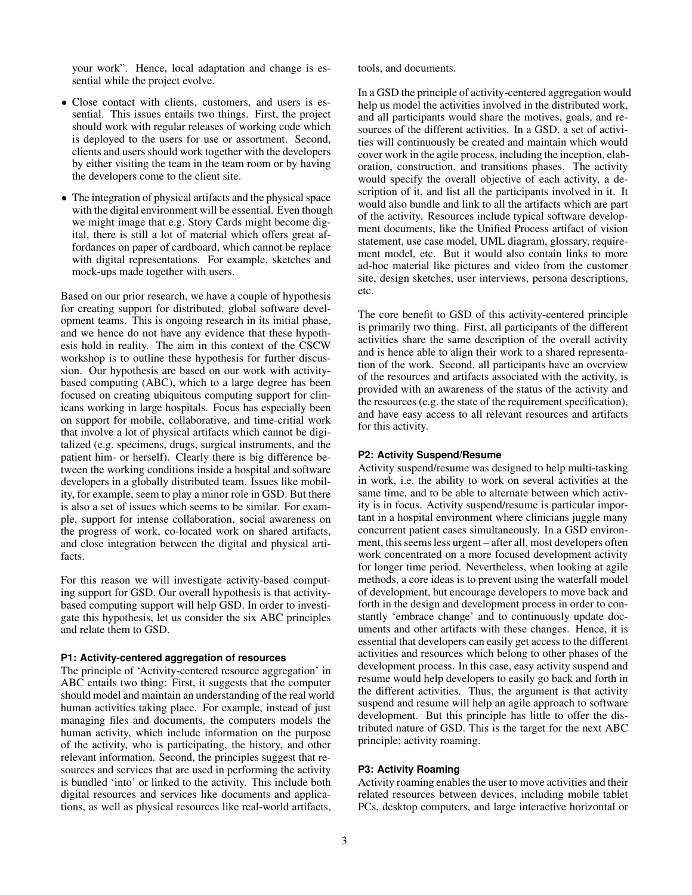your work". Hence, local adaptation and change is essential while the project evolve.

- Close contact with clients, customers, and users is essential. This issues entails two things. First, the project should work with regular releases of working code which is deployed to the users for use or assortment. Second, clients and users should work together with the developers by either visiting the team in the team room or by having the developers come to the client site.
- The integration of physical artifacts and the physical space with the digital environment will be essential. Even though we might image that e.g. Story Cards might become digital, there is still a lot of material which offers great affordances on paper of cardboard, which cannot be replace with digital representations. For example, sketches and mock-ups made together with users.

Based on our prior research, we have a couple of hypothesis for creating support for distributed, global software development teams. This is ongoing research in its initial phase, and we hence do not have any evidence that these hypothesis hold in reality. The aim in this context of the CSCW workshop is to outline these hypothesis for further discussion. Our hypothesis are based on our work with activitybased computing (ABC), which to a large degree has been focused on creating ubiquitous computing support for clinicans working in large hospitals. Focus has especially been on support for mobile, collaborative, and time-critial work that involve a lot of physical artifacts which cannot be digitalized (e.g. specimens, drugs, surgical instruments, and the patient him- or herself). Clearly there is big difference between the working conditions inside a hospital and software developers in a globally distributed team. Issues like mobility, for example, seem to play a minor role in GSD. But there is also a set of issues which seems to be similar. For example, support for intense collaboration, social awareness on the progress of work, co-located work on shared artifacts, and close integration between the digital and physical artifacts.

For this reason we will investigate activity-based computing support for GSD. Our overall hypothesis is that activitybased computing support will help GSD. In order to investigate this hypothesis, let us consider the six ABC principles and relate them to GSD.

### **P1: Activity-centered aggregation of resources**

The principle of 'Activity-centered resource aggregation' in ABC entails two thing: First, it suggests that the computer should model and maintain an understanding of the real world human activities taking place. For example, instead of just managing files and documents, the computers models the human activity, which include information on the purpose of the activity, who is participating, the history, and other relevant information. Second, the principles suggest that resources and services that are used in performing the activity is bundled 'into' or linked to the activity. This include both digital resources and services like documents and applications, as well as physical resources like real-world artifacts,

tools, and documents.

In a GSD the principle of activity-centered aggregation would help us model the activities involved in the distributed work, and all participants would share the motives, goals, and resources of the different activities. In a GSD, a set of activities will continuously be created and maintain which would cover work in the agile process, including the inception, elaboration, construction, and transitions phases. The activity would specify the overall objective of each activity, a description of it, and list all the participants involved in it. It would also bundle and link to all the artifacts which are part of the activity. Resources include typical software development documents, like the Unified Process artifact of vision statement, use case model, UML diagram, glossary, requirement model, etc. But it would also contain links to more ad-hoc material like pictures and video from the customer site, design sketches, user interviews, persona descriptions, etc.

The core benefit to GSD of this activity-centered principle is primarily two thing. First, all participants of the different activities share the same description of the overall activity and is hence able to align their work to a shared representation of the work. Second, all participants have an overview of the resources and artifacts associated with the activity, is provided with an awareness of the status of the activity and the resources (e.g. the state of the requirement specification), and have easy access to all relevant resources and artifacts for this activity.

#### **P2: Activity Suspend/Resume**

Activity suspend/resume was designed to help multi-tasking in work, i.e. the ability to work on several activities at the same time, and to be able to alternate between which activity is in focus. Activity suspend/resume is particular important in a hospital environment where clinicians juggle many concurrent patient cases simultaneously. In a GSD environment, this seems less urgent – after all, most developers often work concentrated on a more focused development activity for longer time period. Nevertheless, when looking at agile methods, a core ideas is to prevent using the waterfall model of development, but encourage developers to move back and forth in the design and development process in order to constantly 'embrace change' and to continuously update documents and other artifacts with these changes. Hence, it is essential that developers can easily get access to the different activities and resources which belong to other phases of the development process. In this case, easy activity suspend and resume would help developers to easily go back and forth in the different activities. Thus, the argument is that activity suspend and resume will help an agile approach to software development. But this principle has little to offer the distributed nature of GSD. This is the target for the next ABC principle; activity roaming.

# **P3: Activity Roaming**

Activity roaming enables the user to move activities and their related resources between devices, including mobile tablet PCs, desktop computers, and large interactive horizontal or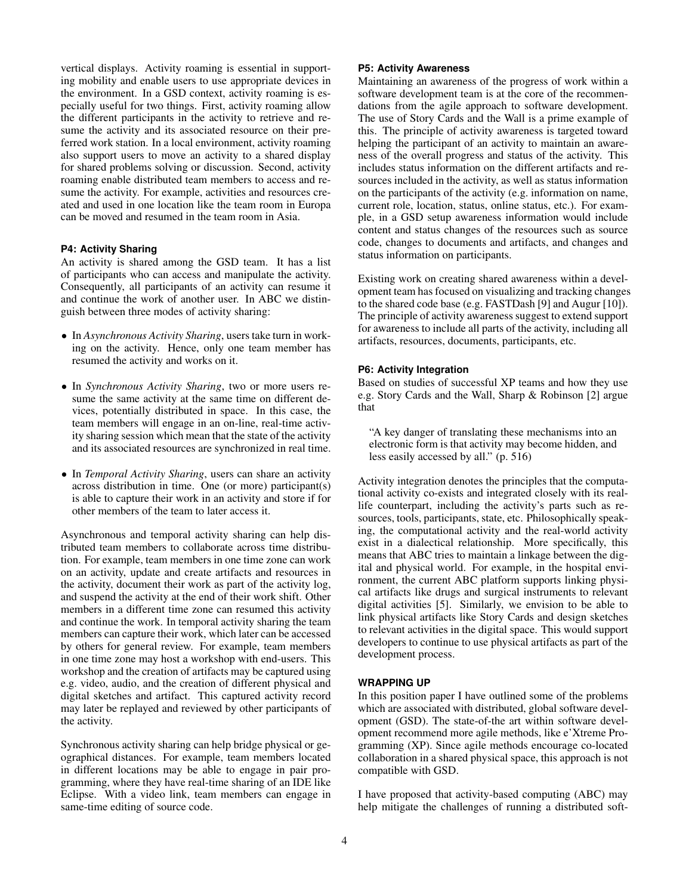vertical displays. Activity roaming is essential in supporting mobility and enable users to use appropriate devices in the environment. In a GSD context, activity roaming is especially useful for two things. First, activity roaming allow the different participants in the activity to retrieve and resume the activity and its associated resource on their preferred work station. In a local environment, activity roaming also support users to move an activity to a shared display for shared problems solving or discussion. Second, activity roaming enable distributed team members to access and resume the activity. For example, activities and resources created and used in one location like the team room in Europa can be moved and resumed in the team room in Asia.

# **P4: Activity Sharing**

An activity is shared among the GSD team. It has a list of participants who can access and manipulate the activity. Consequently, all participants of an activity can resume it and continue the work of another user. In ABC we distinguish between three modes of activity sharing:

- In *Asynchronous Activity Sharing*, users take turn in working on the activity. Hence, only one team member has resumed the activity and works on it.
- In *Synchronous Activity Sharing*, two or more users resume the same activity at the same time on different devices, potentially distributed in space. In this case, the team members will engage in an on-line, real-time activity sharing session which mean that the state of the activity and its associated resources are synchronized in real time.
- In *Temporal Activity Sharing*, users can share an activity across distribution in time. One (or more) participant(s) is able to capture their work in an activity and store if for other members of the team to later access it.

Asynchronous and temporal activity sharing can help distributed team members to collaborate across time distribution. For example, team members in one time zone can work on an activity, update and create artifacts and resources in the activity, document their work as part of the activity log, and suspend the activity at the end of their work shift. Other members in a different time zone can resumed this activity and continue the work. In temporal activity sharing the team members can capture their work, which later can be accessed by others for general review. For example, team members in one time zone may host a workshop with end-users. This workshop and the creation of artifacts may be captured using e.g. video, audio, and the creation of different physical and digital sketches and artifact. This captured activity record may later be replayed and reviewed by other participants of the activity.

Synchronous activity sharing can help bridge physical or geographical distances. For example, team members located in different locations may be able to engage in pair programming, where they have real-time sharing of an IDE like Eclipse. With a video link, team members can engage in same-time editing of source code.

# **P5: Activity Awareness**

Maintaining an awareness of the progress of work within a software development team is at the core of the recommendations from the agile approach to software development. The use of Story Cards and the Wall is a prime example of this. The principle of activity awareness is targeted toward helping the participant of an activity to maintain an awareness of the overall progress and status of the activity. This includes status information on the different artifacts and resources included in the activity, as well as status information on the participants of the activity (e.g. information on name, current role, location, status, online status, etc.). For example, in a GSD setup awareness information would include content and status changes of the resources such as source code, changes to documents and artifacts, and changes and status information on participants.

Existing work on creating shared awareness within a development team has focused on visualizing and tracking changes to the shared code base (e.g. FASTDash [\[9\]](#page-4-10) and Augur [\[10\]](#page-4-11)). The principle of activity awareness suggest to extend support for awareness to include all parts of the activity, including all artifacts, resources, documents, participants, etc.

#### **P6: Activity Integration**

Based on studies of successful XP teams and how they use e.g. Story Cards and the Wall, Sharp & Robinson [\[2\]](#page-4-9) argue that

"A key danger of translating these mechanisms into an electronic form is that activity may become hidden, and less easily accessed by all." (p. 516)

Activity integration denotes the principles that the computational activity co-exists and integrated closely with its reallife counterpart, including the activity's parts such as resources, tools, participants, state, etc. Philosophically speaking, the computational activity and the real-world activity exist in a dialectical relationship. More specifically, this means that ABC tries to maintain a linkage between the digital and physical world. For example, in the hospital environment, the current ABC platform supports linking physical artifacts like drugs and surgical instruments to relevant digital activities [\[5\]](#page-4-12). Similarly, we envision to be able to link physical artifacts like Story Cards and design sketches to relevant activities in the digital space. This would support developers to continue to use physical artifacts as part of the development process.

# **WRAPPING UP**

In this position paper I have outlined some of the problems which are associated with distributed, global software development (GSD). The state-of-the art within software development recommend more agile methods, like e'Xtreme Programming (XP). Since agile methods encourage co-located collaboration in a shared physical space, this approach is not compatible with GSD.

I have proposed that activity-based computing (ABC) may help mitigate the challenges of running a distributed soft